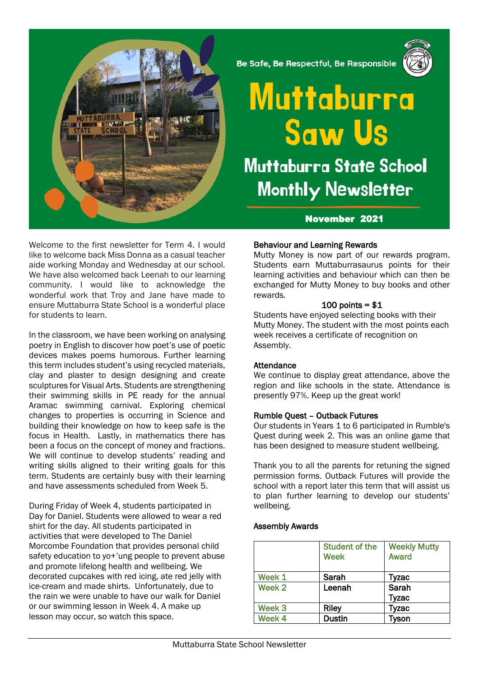

Be Safe, Be Respectful, Be Responsible



# Muttaburra **Saw Us Muttaburra State School Monthly Newsletter**

# November 2021

Welcome to the first newsletter for Term 4. I would like to welcome back Miss Donna as a casual teacher aide working Monday and Wednesday at our school. We have also welcomed back Leenah to our learning community. I would like to acknowledge the wonderful work that Troy and Jane have made to ensure Muttaburra State School is a wonderful place for students to learn.

In the classroom, we have been working on analysing poetry in English to discover how poet's use of poetic devices makes poems humorous. Further learning this term includes student's using recycled materials, clay and plaster to design designing and create sculptures for Visual Arts. Students are strengthening their swimming skills in PE ready for the annual Aramac swimming carnival. Exploring chemical changes to properties is occurring in Science and building their knowledge on how to keep safe is the focus in Health. Lastly, in mathematics there has been a focus on the concept of money and fractions. We will continue to develop students' reading and writing skills aligned to their writing goals for this term. Students are certainly busy with their learning and have assessments scheduled from Week 5.

During Friday of Week 4, students participated in Day for Daniel. Students were allowed to wear a red shirt for the day. All students participated in activities that were developed to The Daniel Morcombe Foundation that provides personal child safety education to yo+'ung people to prevent abuse and promote lifelong health and wellbeing. We decorated cupcakes with red icing, ate red jelly with ice-cream and made shirts. Unfortunately, due to the rain we were unable to have our walk for Daniel or our swimming lesson in Week 4. A make up lesson may occur, so watch this space.

# Behaviour and Learning Rewards

Mutty Money is now part of our rewards program. Students earn Muttaburrasaurus points for their learning activities and behaviour which can then be exchanged for Mutty Money to buy books and other rewards.

#### $100$  points = \$1

Students have enjoyed selecting books with their Mutty Money. The student with the most points each week receives a certificate of recognition on Assembly.

# **Attendance**

We continue to display great attendance, above the region and like schools in the state. Attendance is presently 97%. Keep up the great work!

# Rumble Quest – Outback Futures

Our students in Years 1 to 6 participated in Rumble's Quest during week 2. This was an online game that has been designed to measure student wellbeing.

Thank you to all the parents for retuning the signed permission forms. Outback Futures will provide the school with a report later this term that will assist us to plan further learning to develop our students' wellbeing.

# Assembly Awards

|                   | <b>Student of the</b><br><b>Week</b> | <b>Weekly Mutty</b><br><b>Award</b> |
|-------------------|--------------------------------------|-------------------------------------|
| Week 1            | Sarah                                | Tyzac                               |
| Week 2            | Leenah                               | Sarah                               |
|                   |                                      | Tyzac                               |
| Week <sub>3</sub> | <b>Riley</b>                         | Tyzac                               |
| Week 4            | <b>Dustin</b>                        | Tyson                               |